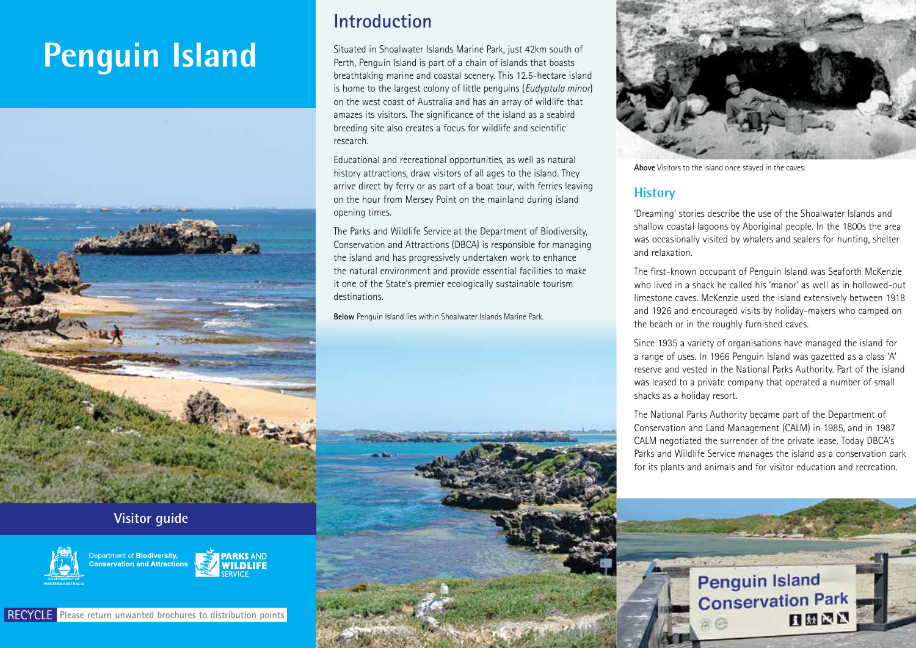# **Penguin Island**



#### **Visitor guide**





# **Introduction**

Situated in Shoalwater Islands Marine Park, just 42km south of Perth, Penguin Island is part of a chain of islands that boasts breathtaking marine and coastal scenery. This 12.5-hectare island is home to the largest colony of little penguins (*Eudyptula minor*) on the west coast of Australia and has an array of wildlife that amazes its visitors. The significance of the island as a seabird breeding site also creates a focus for wildlife and scientific research.

Educational and recreational opportunities, as well as natural history attractions, draw visitors of all ages to the island. They arrive direct by ferry or as part of a boat tour, with ferries leaving on the hour from Mersey Point on the mainland during island opening times.

The Parks and Wildlife Service at the Department of Biodiversity, Conservation and Attractions (DBCA) is responsible for managing the island and has progressively undertaken work to enhance the natural environment and provide essential facilities to make it one of the State's premier ecologically sustainable tourism destinations.

**Below** Penguin Island lies within Shoalwater Islands Marine Park.





**Above** Visitors to the island once stayed in the caves.

# **History**

'Dreaming' stories describe the use of the Shoalwater Islands and shallow coastal lagoons by Aboriginal people. In the 1800s the area was occasionally visited by whalers and sealers for hunting, shelter and relaxation.

The first-known occupant of Penguin Island was Seaforth McKenzie who lived in a shack he called his 'manor' as well as in hollowed-out limestone caves. McKenzie used the island extensively between 1918 and 1926 and encouraged visits by holiday-makers who camped on the beach or in the roughly furnished caves.

Since 1935 a variety of organisations have managed the island for a range of uses. In 1966 Penguin Island was gazetted as a class 'A' reserve and vested in the National Parks Authority. Part of the island was leased to a private company that operated a number of small shacks as a holiday resort.

The National Parks Authority became part of the Department of Conservation and Land Management (CALM) in 1985, and in 1987 CALM negotiated the surrender of the private lease. Today DBCA's Parks and Wildlife Service manages the island as a conservation park for its plants and animals and for visitor education and recreation.

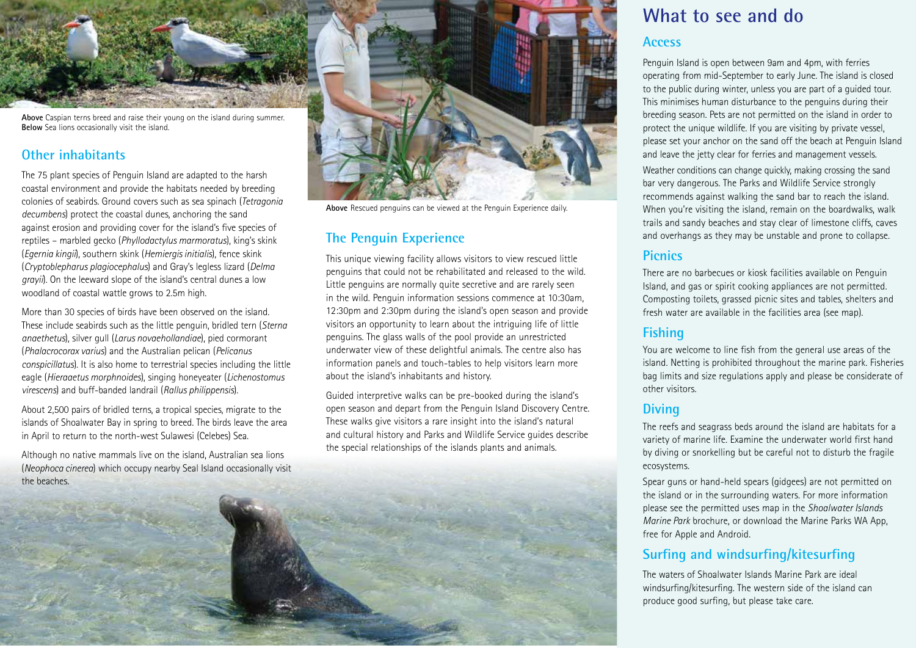

**Above** Caspian terns breed and raise their young on the island during summer. **Below** Sea lions occasionally visit the island.

## **Other inhabitants**

The 75 plant species of Penguin Island are adapted to the harsh coastal environment and provide the habitats needed by breeding colonies of seabirds. Ground covers such as sea spinach (*Tetragonia decumbens*) protect the coastal dunes, anchoring the sand against erosion and providing cover for the island's five species of reptiles – marbled gecko (*Phyllodactylus marmoratus*), king's skink (*Egernia kingii*), southern skink (*Hemiergis initialis*), fence skink (*Cryptoblepharus plagiocephalus*) and Gray's legless lizard (*Delma grayii*). On the leeward slope of the island's central dunes a low woodland of coastal wattle grows to 2.5m high.

More than 30 species of birds have been observed on the island. These include seabirds such as the little penguin, bridled tern (*Sterna anaethetus*), silver gull (*Larus novaehollandiae*), pied cormorant (*Phalacrocorax varius*) and the Australian pelican (*Pelicanus conspicillatus*). It is also home to terrestrial species including the little eagle (*Hieraaetus morphnoides*), singing honeyeater (*Lichenostomus virescens*) and buff-banded landrail (*Rallus philippensis*).

About 2,500 pairs of bridled terns, a tropical species, migrate to the islands of Shoalwater Bay in spring to breed. The birds leave the area in April to return to the north-west Sulawesi (Celebes) Sea.

Although no native mammals live on the island, Australian sea lions (*Neophoca cinerea*) which occupy nearby Seal Island occasionally visit the beaches.



**Above** Rescued penguins can be viewed at the Penguin Experience daily.

# **The Penguin Experience**

This unique viewing facility allows visitors to view rescued little penguins that could not be rehabilitated and released to the wild. Little penguins are normally quite secretive and are rarely seen in the wild. Penguin information sessions commence at 10:30am, 12:30pm and 2:30pm during the island's open season and provide visitors an opportunity to learn about the intriguing life of little penguins. The glass walls of the pool provide an unrestricted underwater view of these delightful animals. The centre also has information panels and touch-tables to help visitors learn more about the island's inhabitants and history.

Guided interpretive walks can be pre-booked during the island's open season and depart from the Penguin Island Discovery Centre. These walks give visitors a rare insight into the island's natural and cultural history and Parks and Wildlife Service guides describe the special relationships of the islands plants and animals.

# **What to see and do**

#### **Access**

Penguin Island is open between 9am and 4pm, with ferries operating from mid-September to early June. The island is closed to the public during winter, unless you are part of a guided tour. This minimises human disturbance to the penguins during their breeding season. Pets are not permitted on the island in order to protect the unique wildlife. If you are visiting by private vessel, please set your anchor on the sand off the beach at Penguin Island and leave the jetty clear for ferries and management vessels.

Weather conditions can change quickly, making crossing the sand bar very dangerous. The Parks and Wildlife Service strongly recommends against walking the sand bar to reach the island. When you're visiting the island, remain on the boardwalks, walk trails and sandy beaches and stay clear of limestone cliffs, caves and overhangs as they may be unstable and prone to collapse.

#### **Picnics**

There are no barbecues or kiosk facilities available on Penguin Island, and gas or spirit cooking appliances are not permitted. Composting toilets, grassed picnic sites and tables, shelters and fresh water are available in the facilities area (see map).

## **Fishing**

You are welcome to line fish from the general use areas of the island. Netting is prohibited throughout the marine park. Fisheries bag limits and size regulations apply and please be considerate of other visitors.

#### **Diving**

The reefs and seagrass beds around the island are habitats for a variety of marine life. Examine the underwater world first hand by diving or snorkelling but be careful not to disturb the fragile ecosystems.

Spear guns or hand-held spears (gidgees) are not permitted on the island or in the surrounding waters. For more information please see the permitted uses map in the *Shoalwater Islands Marine Park* brochure, or download the Marine Parks WA App, free for Apple and Android.

## **Surfing and windsurfing/kitesurfing**

The waters of Shoalwater Islands Marine Park are ideal windsurfing/kitesurfing. The western side of the island can produce good surfing, but please take care.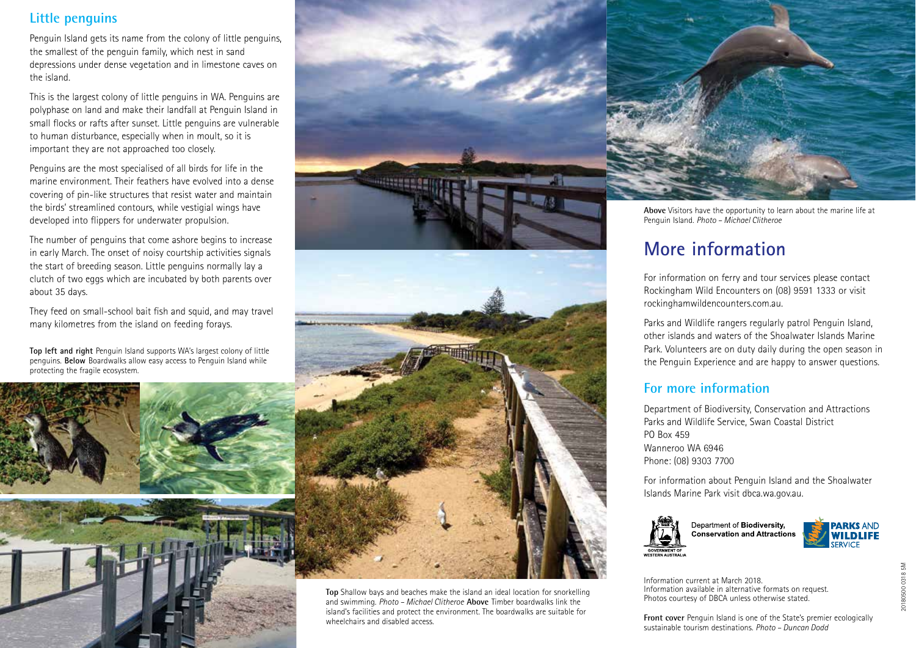# **Little penguins**

Penguin Island gets its name from the colony of little penguins, the smallest of the penguin family, which nest in sand depressions under dense vegetation and in limestone caves on the island.

This is the largest colony of little penguins in WA. Penguins are polyphase on land and make their landfall at Penguin Island in small flocks or rafts after sunset. Little penguins are vulnerable to human disturbance, especially when in moult, so it is important they are not approached too closely.

Penguins are the most specialised of all birds for life in the marine environment. Their feathers have evolved into a dense covering of pin-like structures that resist water and maintain the birds' streamlined contours, while vestigial wings have developed into flippers for underwater propulsion.

The number of penguins that come ashore begins to increase in early March. The onset of noisy courtship activities signals the start of breeding season. Little penguins normally lay a clutch of two eggs which are incubated by both parents over about 35 days.

They feed on small-school bait fish and squid, and may travel many kilometres from the island on feeding forays.

**Top left and right** Penguin Island supports WA's largest colony of little penguins. **Below** Boardwalks allow easy access to Penguin Island while protecting the fragile ecosystem.





**Top** Shallow bays and beaches make the island an ideal location for snorkelling and swimming. *Photo – Michael Clitheroe* **Above** Timber boardwalks link the island's facilities and protect the environment. The boardwalks are suitable for wheelchairs and disabled access.



**Above** Visitors have the opportunity to learn about the marine life at Penguin Island. *Photo – Michael Clitheroe*

# **More information**

For information on ferry and tour services please contact Rockingham Wild Encounters on (08) 9591 1333 or visit rockinghamwildencounters.com.au.

Parks and Wildlife rangers regularly patrol Penguin Island, other islands and waters of the Shoalwater Islands Marine Park. Volunteers are on duty daily during the open season in the Penguin Experience and are happy to answer questions.

#### **For more information**

Department of Biodiversity, Conservation and Attractions Parks and Wildlife Service, Swan Coastal District PO Box 459 Wanneroo WA 6946 Phone: (08) 9303 7700

For information about Penguin Island and the Shoalwater Islands Marine Park visit dbca.wa.gov.au.



Department of Biodiversity, **PARKS AND**<br>**WILDLIFE Conservation and Attractions** SERVICE

Information current at March 2018. Information available in alternative formats on request. Photos courtesy of DBCA unless otherwise stated.

**Front cover** Penguin Island is one of the State's premier ecologically sustainable tourism destinations. *Photo – Duncan Dodd*